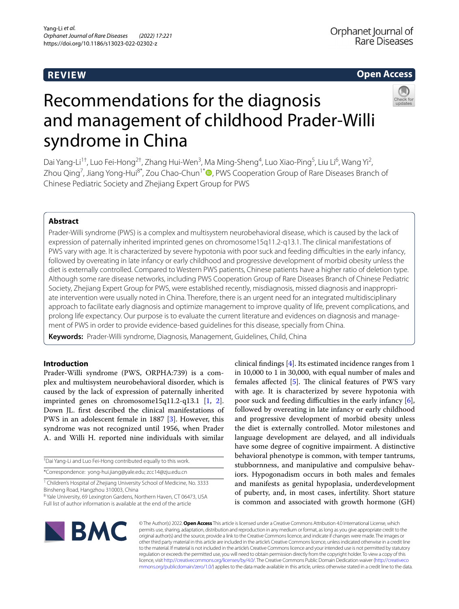# **REVIEW**

# **Open Access**



# Recommendations for the diagnosis and management of childhood Prader‑Willi syndrome in China

Dai Yang-Li<sup>1†</sup>, Luo Fei-Hong<sup>2†</sup>, Zhang Hui-Wen<sup>3</sup>, Ma Ming-Sheng<sup>4</sup>, Luo Xiao-Ping<sup>5</sup>, Liu Li<sup>6</sup>, Wang Yi<sup>2</sup>, Zhou Qing<sup>7</sup>[,](http://orcid.org/0000-0002-4667-3636) Jiang Yong-Hui<sup>8\*</sup>, Zou Chao-Chun<sup>1\*</sup><sup>D</sup>, PWS Cooperation Group of Rare Diseases Branch of Chinese Pediatric Society and Zhejiang Expert Group for PWS

# **Abstract**

Prader-Willi syndrome (PWS) is a complex and multisystem neurobehavioral disease, which is caused by the lack of expression of paternally inherited imprinted genes on chromosome15q11.2-q13.1. The clinical manifestations of PWS vary with age. It is characterized by severe hypotonia with poor suck and feeding difficulties in the early infancy, followed by overeating in late infancy or early childhood and progressive development of morbid obesity unless the diet is externally controlled. Compared to Western PWS patients, Chinese patients have a higher ratio of deletion type. Although some rare disease networks, including PWS Cooperation Group of Rare Diseases Branch of Chinese Pediatric Society, Zhejiang Expert Group for PWS, were established recently, misdiagnosis, missed diagnosis and inappropriate intervention were usually noted in China. Therefore, there is an urgent need for an integrated multidisciplinary approach to facilitate early diagnosis and optimize management to improve quality of life, prevent complications, and prolong life expectancy. Our purpose is to evaluate the current literature and evidences on diagnosis and management of PWS in order to provide evidence-based guidelines for this disease, specially from China.

**Keywords:** Prader-Willi syndrome, Diagnosis, Management, Guidelines, Child, China

# **Introduction**

Prader-Willi syndrome (PWS, ORPHA:739) is a complex and multisystem neurobehavioral disorder, which is caused by the lack of expression of paternally inherited imprinted genes on chromosome15q11.2-q13.1 [[1,](#page-9-0) [2](#page-9-1)]. Down JL. frst described the clinical manifestations of PWS in an adolescent female in 1887 [[3\]](#page-9-2). However, this syndrome was not recognized until 1956, when Prader A. and Willi H. reported nine individuals with similar

| <sup>†</sup> Dai Yang-Li and Luo Fei-Hong contributed equally to this work. |  |
|-----------------------------------------------------------------------------|--|
| *Correspondence: yong-hui.jiang@yale.edu; zcc14@zju.edu.cn                  |  |

<sup>1</sup> Children's Hospital of Zhejiang University School of Medicine, No. 3333 Binsheng Road, Hangzhou 310003, China

<sup>8</sup> Yale University, 69 Lexington Gardens, Northern Haven, CT 06473, USA Full list of author information is available at the end of the article

clinical fndings [\[4](#page-9-3)]. Its estimated incidence ranges from 1 in 10,000 to 1 in 30,000, with equal number of males and females affected  $[5]$  $[5]$  $[5]$ . The clinical features of PWS vary with age. It is characterized by severe hypotonia with poor suck and feeding difficulties in the early infancy [\[6](#page-9-5)], followed by overeating in late infancy or early childhood and progressive development of morbid obesity unless the diet is externally controlled. Motor milestones and language development are delayed, and all individuals have some degree of cognitive impairment. A distinctive behavioral phenotype is common, with temper tantrums, stubbornness, and manipulative and compulsive behaviors. Hypogonadism occurs in both males and females and manifests as genital hypoplasia, underdevelopment of puberty, and, in most cases, infertility. Short stature is common and associated with growth hormone (GH)



© The Author(s) 2022. **Open Access** This article is licensed under a Creative Commons Attribution 4.0 International License, which permits use, sharing, adaptation, distribution and reproduction in any medium or format, as long as you give appropriate credit to the original author(s) and the source, provide a link to the Creative Commons licence, and indicate if changes were made. The images or other third party material in this article are included in the article's Creative Commons licence, unless indicated otherwise in a credit line to the material. If material is not included in the article's Creative Commons licence and your intended use is not permitted by statutory regulation or exceeds the permitted use, you will need to obtain permission directly from the copyright holder. To view a copy of this licence, visit [http://creativecommons.org/licenses/by/4.0/.](http://creativecommons.org/licenses/by/4.0/) The Creative Commons Public Domain Dedication waiver ([http://creativeco](http://creativecommons.org/publicdomain/zero/1.0/) [mmons.org/publicdomain/zero/1.0/](http://creativecommons.org/publicdomain/zero/1.0/)) applies to the data made available in this article, unless otherwise stated in a credit line to the data.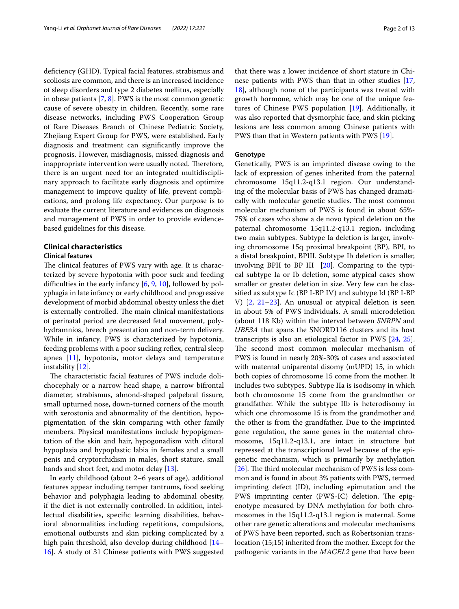deficiency (GHD). Typical facial features, strabismus and scoliosis are common, and there is an increased incidence of sleep disorders and type 2 diabetes mellitus, especially in obese patients [[7](#page-9-6), [8\]](#page-9-7). PWS is the most common genetic cause of severe obesity in children. Recently, some rare disease networks, including PWS Cooperation Group of Rare Diseases Branch of Chinese Pediatric Society, Zhejiang Expert Group for PWS, were established. Early diagnosis and treatment can signifcantly improve the prognosis. However, misdiagnosis, missed diagnosis and inappropriate intervention were usually noted. Therefore, there is an urgent need for an integrated multidisciplinary approach to facilitate early diagnosis and optimize management to improve quality of life, prevent complications, and prolong life expectancy. Our purpose is to evaluate the current literature and evidences on diagnosis and management of PWS in order to provide evidencebased guidelines for this disease.

# **Clinical characteristics**

### **Clinical features**

The clinical features of PWS vary with age. It is characterized by severe hypotonia with poor suck and feeding difficulties in the early infancy  $[6, 9, 10]$  $[6, 9, 10]$  $[6, 9, 10]$  $[6, 9, 10]$  $[6, 9, 10]$  $[6, 9, 10]$ , followed by polyphagia in late infancy or early childhood and progressive development of morbid abdominal obesity unless the diet is externally controlled. The main clinical manifestations of perinatal period are decreased fetal movement, polyhydramnios, breech presentation and non-term delivery. While in infancy, PWS is characterized by hypotonia, feeding problems with a poor sucking reflex, central sleep apnea [\[11](#page-9-10)], hypotonia, motor delays and temperature instability [\[12](#page-9-11)].

The characteristic facial features of PWS include dolichocephaly or a narrow head shape, a narrow bifrontal diameter, strabismus, almond-shaped palpebral fssure, small upturned nose, down-turned corners of the mouth with xerostonia and abnormality of the dentition, hypopigmentation of the skin comparing with other family members. Physical manifestations include hypopigmentation of the skin and hair, hypogonadism with clitoral hypoplasia and hypoplastic labia in females and a small penis and cryptorchidism in males, short stature, small hands and short feet, and motor delay [\[13](#page-9-12)].

In early childhood (about 2–6 years of age), additional features appear including temper tantrums, food seeking behavior and polyphagia leading to abdominal obesity, if the diet is not externally controlled. In addition, intellectual disabilities, specifc learning disabilities, behavioral abnormalities including repetitions, compulsions, emotional outbursts and skin picking complicated by a high pain threshold, also develop during childhood [[14–](#page-10-0) [16\]](#page-10-1). A study of 31 Chinese patients with PWS suggested that there was a lower incidence of short stature in Chinese patients with PWS than that in other studies [[17](#page-10-2), [18\]](#page-10-3), although none of the participants was treated with growth hormone, which may be one of the unique features of Chinese PWS population [\[19](#page-10-4)]. Additionally, it was also reported that dysmorphic face, and skin picking lesions are less common among Chinese patients with PWS than that in Western patients with PWS [[19\]](#page-10-4).

# **Genotype**

Genetically, PWS is an imprinted disease owing to the lack of expression of genes inherited from the paternal chromosome 15q11.2-q13.1 region. Our understanding of the molecular basis of PWS has changed dramatically with molecular genetic studies. The most common molecular mechanism of PWS is found in about 65%- 75% of cases who show a de novo typical deletion on the paternal chromosome 15q11.2-q13.1 region, including two main subtypes. Subtype Ia deletion is larger, involving chromosome 15q proximal breakpoint (BP), BPI, to a distal breakpoint, BPIII. Subtype Ib deletion is smaller, involving BPII to BP III [\[20\]](#page-10-5). Comparing to the typical subtype Ia or Ib deletion, some atypical cases show smaller or greater deletion in size. Very few can be classifed as subtype Ic (BP I-BP IV) and subtype Id (BP I-BP V) [[2,](#page-9-1) [21–](#page-10-6)[23\]](#page-10-7). An unusual or atypical deletion is seen in about 5% of PWS individuals. A small microdeletion (about 118 Kb) within the interval between *SNRPN* and *UBE3A* that spans the SNORD116 clusters and its host transcripts is also an etiological factor in PWS [[24,](#page-10-8) [25](#page-10-9)]. The second most common molecular mechanism of PWS is found in nearly 20%-30% of cases and associated with maternal uniparental disomy (mUPD) 15, in which both copies of chromosome 15 come from the mother. It includes two subtypes. Subtype IIa is isodisomy in which both chromosome 15 come from the grandmother or grandfather. While the subtype IIb is heterodisomy in which one chromosome 15 is from the grandmother and the other is from the grandfather. Due to the imprinted gene regulation, the same genes in the maternal chromosome, 15q11.2-q13.1, are intact in structure but repressed at the transcriptional level because of the epigenetic mechanism, which is primarily by methylation [ $26$ ]. The third molecular mechanism of PWS is less common and is found in about 3% patients with PWS, termed imprinting defect (ID), including epimutation and the PWS imprinting center (PWS-IC) deletion. The epigenotype measured by DNA methylation for both chromosomes in the 15q11.2-q13.1 region is maternal. Some other rare genetic alterations and molecular mechanisms of PWS have been reported, such as Robertsonian translocation (15;15) inherited from the mother. Except for the pathogenic variants in the *MAGEL2* gene that have been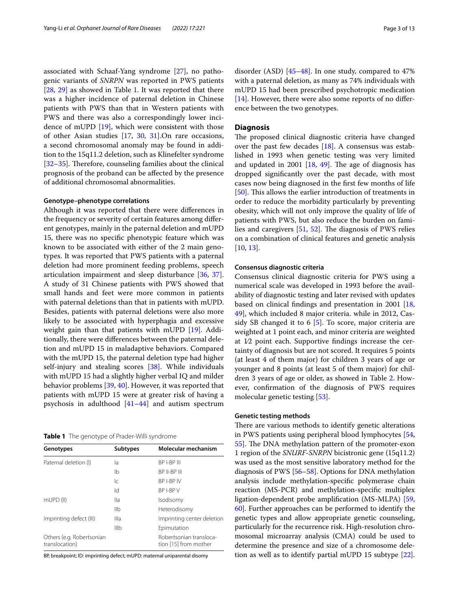associated with Schaaf-Yang syndrome [[27\]](#page-10-11), no pathogenic variants of *SNRPN* was reported in PWS patients [[28,](#page-10-12) [29\]](#page-10-13) as showed in Table [1](#page-2-0). It was reported that there was a higher incidence of paternal deletion in Chinese patients with PWS than that in Western patients with PWS and there was also a correspondingly lower incidence of mUPD [\[19\]](#page-10-4), which were consistent with those of other Asian studies [[17,](#page-10-2) [30](#page-10-14), [31](#page-10-15)].On rare occasions, a second chromosomal anomaly may be found in addition to the 15q11.2 deletion, such as Klinefelter syndrome [[32–](#page-10-16)[35](#page-10-17)]. Therefore, counseling families about the clinical prognosis of the proband can be afected by the presence of additional chromosomal abnormalities.

## **Genotype–phenotype correlations**

Although it was reported that there were diferences in the frequency or severity of certain features among diferent genotypes, mainly in the paternal deletion and mUPD 15, there was no specifc phenotypic feature which was known to be associated with either of the 2 main genotypes. It was reported that PWS patients with a paternal deletion had more prominent feeding problems, speech articulation impairment and sleep disturbance [\[36](#page-10-18), [37](#page-10-19)]. A study of 31 Chinese patients with PWS showed that small hands and feet were more common in patients with paternal deletions than that in patients with mUPD. Besides, patients with paternal deletions were also more likely to be associated with hyperphagia and excessive weight gain than that patients with mUPD [\[19](#page-10-4)]. Additionally, there were diferences between the paternal deletion and mUPD 15 in maladaptive behaviors. Compared with the mUPD 15, the paternal deletion type had higher self-injury and stealing scores [[38\]](#page-10-20). While individuals with mUPD 15 had a slightly higher verbal IQ and milder behavior problems [\[39](#page-10-21), [40](#page-10-22)]. However, it was reported that patients with mUPD 15 were at greater risk of having a psychosis in adulthood [\[41](#page-10-23)[–44](#page-10-24)] and autism spectrum

<span id="page-2-0"></span>**Table 1** The genotype of Prader-Willi syndrome

| Genotypes                                   | <b>Subtypes</b> | Molecular mechanism                              |
|---------------------------------------------|-----------------|--------------------------------------------------|
| Paternal deletion (I)                       | la              | BP I-BP III                                      |
|                                             | Ib              | BP II-BP III                                     |
|                                             | lс              | BP I-BP IV                                       |
|                                             | ld.             | BP I-BP V                                        |
| mUPD (II)                                   | lla             | Isodisomy                                        |
|                                             | IIb             | Heterodisomy                                     |
| Imprinting defect (III)                     | Illa            | Imprinting center deletion                       |
|                                             | IIIb            | Epimutation                                      |
| Others (e.g. Robertsonian<br>translocation) |                 | Robertsonian transloca-<br>tion [15] from mother |

BP, breakpoint; ID: imprinting defect; mUPD: maternal uniparental disomy

disorder (ASD) [\[45](#page-10-25)[–48\]](#page-10-26). In one study, compared to 47% with a paternal deletion, as many as 74% individuals with mUPD 15 had been prescribed psychotropic medication [[14\]](#page-10-0). However, there were also some reports of no diference between the two genotypes.

#### **Diagnosis**

The proposed clinical diagnostic criteria have changed over the past few decades [\[18](#page-10-3)]. A consensus was established in 1993 when genetic testing was very limited and updated in 2001  $[18, 49]$  $[18, 49]$  $[18, 49]$  $[18, 49]$ . The age of diagnosis has dropped signifcantly over the past decade, with most cases now being diagnosed in the frst few months of life [[50\]](#page-10-28). This allows the earlier introduction of treatments in order to reduce the morbidity particularly by preventing obesity, which will not only improve the quality of life of patients with PWS, but also reduce the burden on families and caregivers  $[51, 52]$  $[51, 52]$  $[51, 52]$  $[51, 52]$ . The diagnosis of PWS relies on a combination of clinical features and genetic analysis [[10,](#page-9-9) [13](#page-9-12)].

#### **Consensus diagnostic criteria**

Consensus clinical diagnostic criteria for PWS using a numerical scale was developed in 1993 before the availability of diagnostic testing and later revised with updates based on clinical fndings and presentation in 2001 [[18](#page-10-3), [49\]](#page-10-27), which included 8 major criteria. while in 2012, Cassidy SB changed it to 6 [[5\]](#page-9-4). To score, major criteria are weighted at 1 point each, and minor criteria are weighted at 1⁄2 point each. Supportive fndings increase the certainty of diagnosis but are not scored. It requires 5 points (at least 4 of them major) for children 3 years of age or younger and 8 points (at least 5 of them major) for children 3 years of age or older, as showed in Table [2](#page-3-0). However, confrmation of the diagnosis of PWS requires molecular genetic testing [[53\]](#page-10-31).

#### **Genetic testing methods**

There are various methods to identify genetic alterations in PWS patients using peripheral blood lymphocytes [[54](#page-10-32), [55](#page-10-33)]. The DNA methylation pattern of the promoter-exon 1 region of the *SNURF*-*SNRPN* bicistronic gene (15q11.2) was used as the most sensitive laboratory method for the diagnosis of PWS [\[56–](#page-10-34)[58\]](#page-11-0). Options for DNA methylation analysis include methylation-specifc polymerase chain reaction (MS-PCR) and methylation-specifc multiplex ligation-dependent probe amplifcation (MS-MLPA) [[59](#page-11-1), [60](#page-11-2)]. Further approaches can be performed to identify the genetic types and allow appropriate genetic counseling, particularly for the recurrence risk. High-resolution chromosomal microarray analysis (CMA) could be used to determine the presence and size of a chromosome deletion as well as to identify partial mUPD 15 subtype [\[22](#page-10-35)].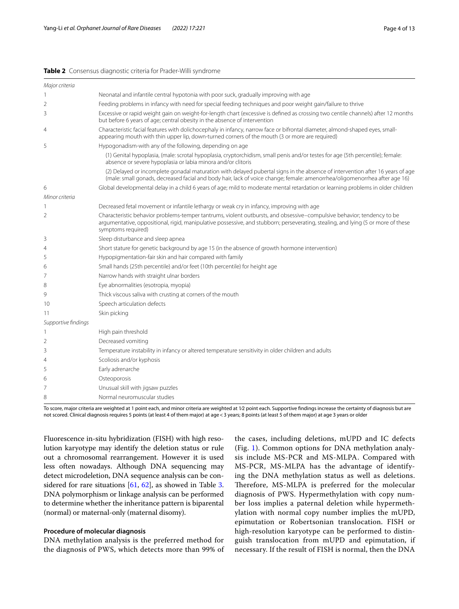#### <span id="page-3-0"></span>**Table 2** Consensus diagnostic criteria for Prader-Willi syndrome

| Major criteria      |                                                                                                                                                                                                                                                                                   |  |  |
|---------------------|-----------------------------------------------------------------------------------------------------------------------------------------------------------------------------------------------------------------------------------------------------------------------------------|--|--|
| 1                   | Neonatal and infantile central hypotonia with poor suck, gradually improving with age                                                                                                                                                                                             |  |  |
| 2                   | Feeding problems in infancy with need for special feeding techniques and poor weight gain/failure to thrive                                                                                                                                                                       |  |  |
| 3                   | Excessive or rapid weight gain on weight-for-length chart (excessive is defined as crossing two centile channels) after 12 months<br>but before 6 years of age; central obesity in the absence of intervention                                                                    |  |  |
| 4                   | Characteristic facial features with dolichocephaly in infancy, narrow face or bifrontal diameter, almond-shaped eyes, small-<br>appearing mouth with thin upper lip, down-turned corners of the mouth (3 or more are required)                                                    |  |  |
| 5                   | Hypogonadism-with any of the following, depending on age                                                                                                                                                                                                                          |  |  |
|                     | (1) Genital hypoplasia, (male: scrotal hypoplasia, cryptorchidism, small penis and/or testes for age (5th percentile); female:<br>absence or severe hypoplasia or labia minora and/or clitoris                                                                                    |  |  |
|                     | (2) Delayed or incomplete gonadal maturation with delayed pubertal signs in the absence of intervention after 16 years of age<br>(male: small gonads, decreased facial and body hair, lack of voice change; female: amenorrhea/oligomenorrhea after age 16)                       |  |  |
| 6                   | Global developmental delay in a child 6 years of age; mild to moderate mental retardation or learning problems in older children                                                                                                                                                  |  |  |
| Minor criteria      |                                                                                                                                                                                                                                                                                   |  |  |
| 1                   | Decreased fetal movement or infantile lethargy or weak cry in infancy, improving with age                                                                                                                                                                                         |  |  |
| 2                   | Characteristic behavior problems-temper tantrums, violent outbursts, and obsessive-compulsive behavior; tendency to be<br>argumentative, oppositional, rigid, manipulative possessive, and stubborn; perseverating, stealing, and lying (5 or more of these<br>symptoms required) |  |  |
| 3                   | Sleep disturbance and sleep apnea                                                                                                                                                                                                                                                 |  |  |
| 4                   | Short stature for genetic background by age 15 (in the absence of growth hormone intervention)                                                                                                                                                                                    |  |  |
| 5                   | Hypopigmentation-fair skin and hair compared with family                                                                                                                                                                                                                          |  |  |
| 6                   | Small hands (25th percentile) and/or feet (10th percentile) for height age                                                                                                                                                                                                        |  |  |
| 7                   | Narrow hands with straight ulnar borders                                                                                                                                                                                                                                          |  |  |
| 8                   | Eye abnormalities (esotropia, myopia)                                                                                                                                                                                                                                             |  |  |
| 9                   | Thick viscous saliva with crusting at corners of the mouth                                                                                                                                                                                                                        |  |  |
| 10                  | Speech articulation defects                                                                                                                                                                                                                                                       |  |  |
| 11                  | Skin picking                                                                                                                                                                                                                                                                      |  |  |
| Supportive findings |                                                                                                                                                                                                                                                                                   |  |  |
| 1                   | High pain threshold                                                                                                                                                                                                                                                               |  |  |
| 2                   | Decreased vomiting                                                                                                                                                                                                                                                                |  |  |
| 3                   | Temperature instability in infancy or altered temperature sensitivity in older children and adults                                                                                                                                                                                |  |  |
| 4                   | Scoliosis and/or kyphosis                                                                                                                                                                                                                                                         |  |  |
| 5                   | Early adrenarche                                                                                                                                                                                                                                                                  |  |  |
| 6                   | Osteoporosis                                                                                                                                                                                                                                                                      |  |  |
| 7                   | Unusual skill with jigsaw puzzles                                                                                                                                                                                                                                                 |  |  |
| 8                   | Normal neuromuscular studies                                                                                                                                                                                                                                                      |  |  |
|                     |                                                                                                                                                                                                                                                                                   |  |  |

To score, major criteria are weighted at 1 point each, and minor criteria are weighted at 1/2 point each. Supportive findings increase the certainty of diagnosis but are not scored. Clinical diagnosis requires 5 points (at least 4 of them major) at age<3 years; 8 points (at least 5 of them major) at age 3 years or older

Fluorescence in-situ hybridization (FISH) with high resolution karyotype may identify the deletion status or rule out a chromosomal rearrangement. However it is used less often nowadays. Although DNA sequencing may detect microdeletion, DNA sequence analysis can be considered for rare situations [[61](#page-11-3), [62](#page-11-4)], as showed in Table [3](#page-4-0). DNA polymorphism or linkage analysis can be performed to determine whether the inheritance pattern is biparental (normal) or maternal-only (maternal disomy).

# **Procedure of molecular diagnosis**

DNA methylation analysis is the preferred method for the diagnosis of PWS, which detects more than 99% of the cases, including deletions, mUPD and IC defects (Fig. [1\)](#page-5-0). Common options for DNA methylation analysis include MS-PCR and MS-MLPA. Compared with MS-PCR, MS-MLPA has the advantage of identifying the DNA methylation status as well as deletions. Therefore, MS-MLPA is preferred for the molecular diagnosis of PWS. Hypermethylation with copy number loss implies a paternal deletion while hypermethylation with normal copy number implies the mUPD, epimutation or Robertsonian translocation. FISH or high-resolution karyotype can be performed to distinguish translocation from mUPD and epimutation, if necessary. If the result of FISH is normal, then the DNA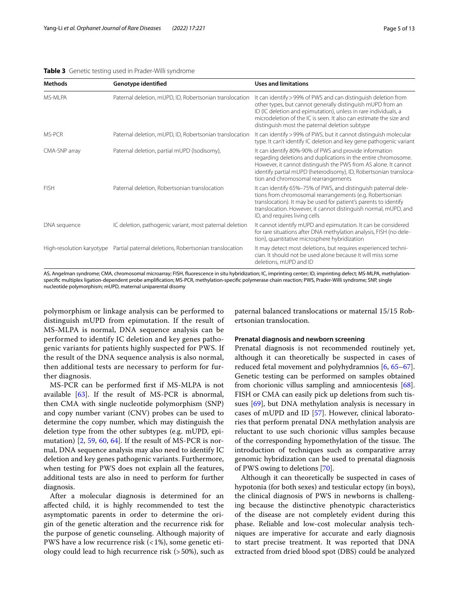#### <span id="page-4-0"></span>**Table 3** Genetic testing used in Prader-Willi syndrome

| Genotype identified                                                              | <b>Uses and limitations</b>                                                                                                                                                                                                                                                                                             |
|----------------------------------------------------------------------------------|-------------------------------------------------------------------------------------------------------------------------------------------------------------------------------------------------------------------------------------------------------------------------------------------------------------------------|
| Paternal deletion, mUPD, ID, Robertsonian translocation                          | It can identify > 99% of PWS and can distinguish deletion from<br>other types, but cannot generally distinguish mUPD from an<br>ID (IC deletion and epimutation), unless in rare individuals, a<br>microdeletion of the IC is seen. It also can estimate the size and<br>distinguish most the paternal deletion subtype |
| Paternal deletion, mUPD, ID, Robertsonian translocation                          | It can identify > 99% of PWS, but it cannot distinguish molecular<br>type. It can't identify IC deletion and key gene pathogenic variant                                                                                                                                                                                |
| Paternal deletion, partial mUPD (Isodisomy),                                     | It can identify 80%-90% of PWS and provide information<br>regarding deletions and duplications in the entire chromosome.<br>However, it cannot distinguish the PWS from AS alone. It cannot<br>identify partial mUPD (heterodisomy), ID, Robertsonian transloca-<br>tion and chromosomal rearrangements                 |
| Paternal deletion, Robertsonian translocation                                    | It can identify 65%-75% of PWS, and distinguish paternal dele-<br>tions from chromosomal rearrangements (e.g. Robertsonian<br>translocation). It may be used for patient's parents to identify<br>translocation. However, it cannot distinguish normal, mUPD, and<br>ID, and requires living cells                      |
| IC deletion, pathogenic variant, most paternal deletion                          | It cannot identify mUPD and epimutation. It can be considered<br>for rare situations after DNA methylation analysis, FISH (no dele-<br>tion), quantitative microsphere hybridization                                                                                                                                    |
| High-resolution karyotype Partial paternal deletions, Robertsonian translocation | It may detect most deletions, but requires experienced techni-<br>cian. It should not be used alone because it will miss some<br>deletions, mUPD and ID                                                                                                                                                                 |
|                                                                                  |                                                                                                                                                                                                                                                                                                                         |

AS, Angelman syndrome; CMA, chromosomal microarray; FISH, fuorescence in situ hybridization; IC, imprinting center; ID, imprinting defect; MS-MLPA, methylationspecifc multiplex ligation-dependent probe amplifcation; MS-PCR, methylation-specifc polymerase chain reaction; PWS, Prader-Willi syndrome; SNP, single nucleotide polymorphism; mUPD, maternal uniparental disomy

polymorphism or linkage analysis can be performed to distinguish mUPD from epimutation. If the result of MS-MLPA is normal, DNA sequence analysis can be performed to identify IC deletion and key genes pathogenic variants for patients highly suspected for PWS. If the result of the DNA sequence analysis is also normal, then additional tests are necessary to perform for further diagnosis.

MS-PCR can be performed frst if MS-MLPA is not available [[63\]](#page-11-5). If the result of MS-PCR is abnormal, then CMA with single nucleotide polymorphism (SNP) and copy number variant (CNV) probes can be used to determine the copy number, which may distinguish the deletion type from the other subtypes (e.g. mUPD, epimutation) [[2,](#page-9-1) [59](#page-11-1), [60](#page-11-2), [64](#page-11-6)]. If the result of MS-PCR is normal, DNA sequence analysis may also need to identify IC deletion and key genes pathogenic variants. Furthermore, when testing for PWS does not explain all the features, additional tests are also in need to perform for further diagnosis.

After a molecular diagnosis is determined for an afected child, it is highly recommended to test the asymptomatic parents in order to determine the origin of the genetic alteration and the recurrence risk for the purpose of genetic counseling. Although majority of PWS have a low recurrence risk  $($  <math>1\%), some genetic etiology could lead to high recurrence risk (>50%), such as

paternal balanced translocations or maternal 15/15 Robertsonian translocation.

#### **Prenatal diagnosis and newborn screening**

Prenatal diagnosis is not recommended routinely yet, although it can theoretically be suspected in cases of reduced fetal movement and polyhydramnios [[6,](#page-9-5) [65](#page-11-7)[–67](#page-11-8)]. Genetic testing can be performed on samples obtained from chorionic villus sampling and amniocentesis [\[68](#page-11-9)]. FISH or CMA can easily pick up deletions from such tissues [[69\]](#page-11-10), but DNA methylation analysis is necessary in cases of mUPD and ID [\[57\]](#page-10-37). However, clinical laboratories that perform prenatal DNA methylation analysis are reluctant to use such chorionic villus samples because of the corresponding hypomethylation of the tissue. The introduction of techniques such as comparative array genomic hybridization can be used to prenatal diagnosis of PWS owing to deletions [[70](#page-11-11)].

Although it can theoretically be suspected in cases of hypotonia (for both sexes) and testicular ectopy (in boys), the clinical diagnosis of PWS in newborns is challenging because the distinctive phenotypic characteristics of the disease are not completely evident during this phase. Reliable and low-cost molecular analysis techniques are imperative for accurate and early diagnosis to start precise treatment. It was reported that DNA extracted from dried blood spot (DBS) could be analyzed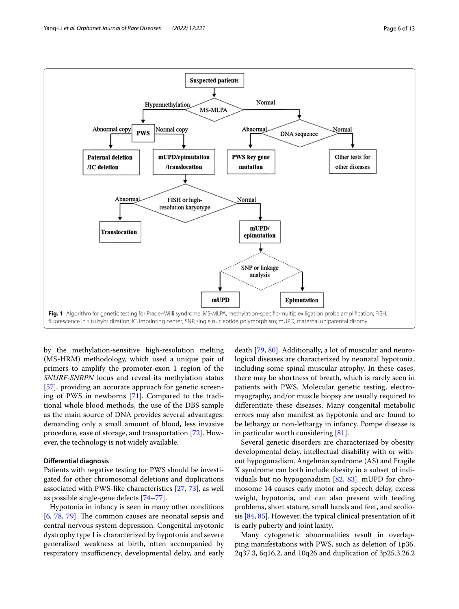

<span id="page-5-0"></span>by the methylation-sensitive high-resolution melting (MS-HRM) methodology, which used a unique pair of primers to amplify the promoter-exon 1 region of the *SNURF*-*SNRPN* locus and reveal its methylation status [[57\]](#page-10-37), providing an accurate approach for genetic screening of PWS in newborns [[71\]](#page-11-12). Compared to the traditional whole blood methods, the use of the DBS sample as the main source of DNA provides several advantages: demanding only a small amount of blood, less invasive procedure, ease of storage, and transportation [[72\]](#page-11-13). However, the technology is not widely available.

# **Diferential diagnosis**

Patients with negative testing for PWS should be investigated for other chromosomal deletions and duplications associated with PWS-like characteristics [[27,](#page-10-11) [73\]](#page-11-14), as well as possible single-gene defects [[74](#page-11-15)[–77](#page-11-16)].

Hypotonia in infancy is seen in many other conditions  $[6, 78, 79]$  $[6, 78, 79]$  $[6, 78, 79]$  $[6, 78, 79]$  $[6, 78, 79]$  $[6, 78, 79]$ . The common causes are neonatal sepsis and central nervous system depression. Congenital myotonic dystrophy type I is characterized by hypotonia and severe generalized weakness at birth, often accompanied by respiratory insufficiency, developmental delay, and early

death [\[79](#page-11-18), [80\]](#page-11-19). Additionally, a lot of muscular and neurological diseases are characterized by neonatal hypotonia, including some spinal muscular atrophy. In these cases, there may be shortness of breath, which is rarely seen in patients with PWS. Molecular genetic testing, electromyography, and/or muscle biopsy are usually required to diferentiate these diseases. Many congenital metabolic errors may also manifest as hypotonia and are found to be lethargy or non-lethargy in infancy. Pompe disease is in particular worth considering [[81\]](#page-11-20).

Several genetic disorders are characterized by obesity, developmental delay, intellectual disability with or without hypogonadism. Angelman syndrome (AS) and Fragile X syndrome can both include obesity in a subset of individuals but no hypogonadism [\[82](#page-11-21), [83\]](#page-11-22). mUPD for chromosome 14 causes early motor and speech delay, excess weight, hypotonia, and can also present with feeding problems, short stature, small hands and feet, and scoliosis [\[84](#page-11-23), [85](#page-11-24)]. However, the typical clinical presentation of it is early puberty and joint laxity.

Many cytogenetic abnormalities result in overlapping manifestations with PWS, such as deletion of 1p36, 2q37.3, 6q16.2, and 10q26 and duplication of 3p25.3.26.2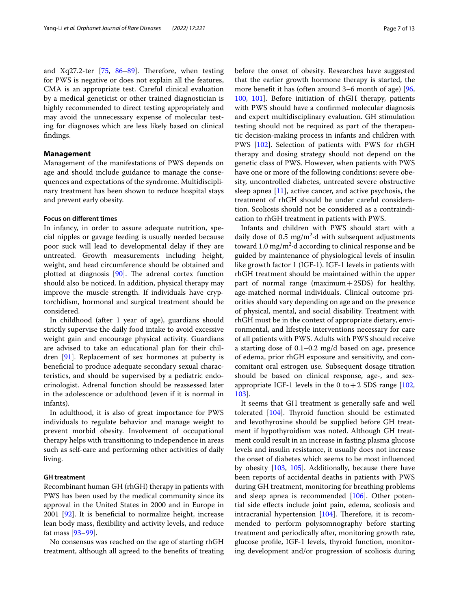and Xq27.2-ter  $[75, 86-89]$  $[75, 86-89]$  $[75, 86-89]$  $[75, 86-89]$ . Therefore, when testing for PWS is negative or does not explain all the features, CMA is an appropriate test. Careful clinical evaluation by a medical geneticist or other trained diagnostician is highly recommended to direct testing appropriately and may avoid the unnecessary expense of molecular testing for diagnoses which are less likely based on clinical fndings.

# **Management**

Management of the manifestations of PWS depends on age and should include guidance to manage the consequences and expectations of the syndrome. Multidisciplinary treatment has been shown to reduce hospital stays and prevent early obesity.

# **Focus on diferent times**

In infancy, in order to assure adequate nutrition, special nipples or gavage feeding is usually needed because poor suck will lead to developmental delay if they are untreated. Growth measurements including height, weight, and head circumference should be obtained and plotted at diagnosis  $[90]$  $[90]$  $[90]$ . The adrenal cortex function should also be noticed. In addition, physical therapy may improve the muscle strength. If individuals have cryptorchidism, hormonal and surgical treatment should be considered.

In childhood (after 1 year of age), guardians should strictly supervise the daily food intake to avoid excessive weight gain and encourage physical activity. Guardians are advised to take an educational plan for their children [\[91\]](#page-11-29). Replacement of sex hormones at puberty is benefcial to produce adequate secondary sexual characteristics, and should be supervised by a pediatric endocrinologist. Adrenal function should be reassessed later in the adolescence or adulthood (even if it is normal in infants).

In adulthood, it is also of great importance for PWS individuals to regulate behavior and manage weight to prevent morbid obesity. Involvement of occupational therapy helps with transitioning to independence in areas such as self-care and performing other activities of daily living.

#### **GH treatment**

Recombinant human GH (rhGH) therapy in patients with PWS has been used by the medical community since its approval in the United States in 2000 and in Europe in  $2001$  [ $92$ ]. It is beneficial to normalize height, increase lean body mass, fexibility and activity levels, and reduce fat mass [[93](#page-11-31)[–99](#page-11-32)].

No consensus was reached on the age of starting rhGH treatment, although all agreed to the benefts of treating before the onset of obesity. Researches have suggested that the earlier growth hormone therapy is started, the more beneft it has (often around 3–6 month of age) [[96](#page-11-33), [100](#page-12-0), [101\]](#page-12-1). Before initiation of rhGH therapy, patients with PWS should have a confrmed molecular diagnosis and expert multidisciplinary evaluation. GH stimulation testing should not be required as part of the therapeutic decision-making process in infants and children with PWS [\[102\]](#page-12-2). Selection of patients with PWS for rhGH therapy and dosing strategy should not depend on the genetic class of PWS. However, when patients with PWS have one or more of the following conditions: severe obesity, uncontrolled diabetes, untreated severe obstructive sleep apnea  $[11]$  $[11]$ , active cancer, and active psychosis, the treatment of rhGH should be under careful consideration. Scoliosis should not be considered as a contraindication to rhGH treatment in patients with PWS.

Infants and children with PWS should start with a daily dose of  $0.5 \text{ mg/m}^2$  d with subsequent adjustments toward  $1.0 \text{ mg/m}^2$  d according to clinical response and be guided by maintenance of physiological levels of insulin like growth factor 1 (IGF-1). IGF-1 levels in patients with rhGH treatment should be maintained within the upper part of normal range (maximum  $+2SDS$ ) for healthy, age-matched normal individuals. Clinical outcome priorities should vary depending on age and on the presence of physical, mental, and social disability. Treatment with rhGH must be in the context of appropriate dietary, environmental, and lifestyle interventions necessary for care of all patients with PWS. Adults with PWS should receive a starting dose of 0.1–0.2 mg/d based on age, presence of edema, prior rhGH exposure and sensitivity, and concomitant oral estrogen use. Subsequent dosage titration should be based on clinical response, age-, and sexappropriate IGF-1 levels in the 0 to  $+2$  SDS range [[102](#page-12-2), [103](#page-12-3)].

It seems that GH treatment is generally safe and well tolerated  $[104]$  $[104]$ . Thyroid function should be estimated and levothyroxine should be supplied before GH treatment if hypothyroidism was noted. Although GH treatment could result in an increase in fasting plasma glucose levels and insulin resistance, it usually does not increase the onset of diabetes which seems to be most infuenced by obesity [\[103](#page-12-3), [105](#page-12-5)]. Additionally, because there have been reports of accidental deaths in patients with PWS during GH treatment, monitoring for breathing problems and sleep apnea is recommended [\[106\]](#page-12-6). Other potential side efects include joint pain, edema, scoliosis and intracranial hypertension  $[104]$  $[104]$ . Therefore, it is recommended to perform polysomnography before starting treatment and periodically after, monitoring growth rate, glucose profle, IGF-1 levels, thyroid function, monitoring development and/or progression of scoliosis during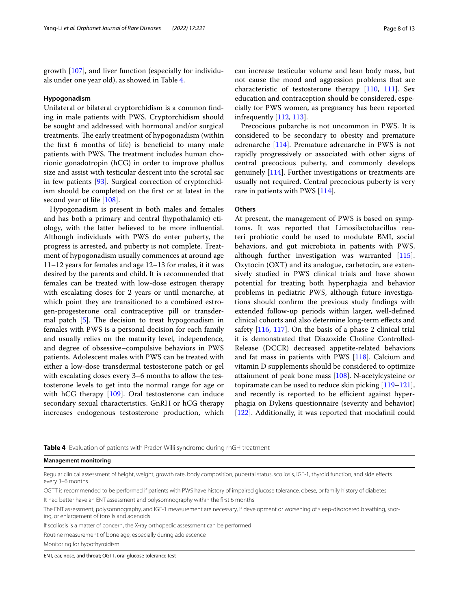growth [\[107](#page-12-7)], and liver function (especially for individuals under one year old), as showed in Table [4.](#page-7-0)

#### **Hypogonadism**

Unilateral or bilateral cryptorchidism is a common fnding in male patients with PWS. Cryptorchidism should be sought and addressed with hormonal and/or surgical treatments. The early treatment of hypogonadism (within the frst 6 months of life) is benefcial to many male patients with PWS. The treatment includes human chorionic gonadotropin (hCG) in order to improve phallus size and assist with testicular descent into the scrotal sac in few patients [[93\]](#page-11-31). Surgical correction of cryptorchidism should be completed on the frst or at latest in the second year of life [[108](#page-12-8)].

Hypogonadism is present in both males and females and has both a primary and central (hypothalamic) etiology, with the latter believed to be more infuential. Although individuals with PWS do enter puberty, the progress is arrested, and puberty is not complete. Treatment of hypogonadism usually commences at around age 11–12 years for females and age 12–13 for males, if it was desired by the parents and child. It is recommended that females can be treated with low-dose estrogen therapy with escalating doses for 2 years or until menarche, at which point they are transitioned to a combined estrogen-progesterone oral contraceptive pill or transdermal patch  $[5]$  $[5]$ . The decision to treat hypogonadism in females with PWS is a personal decision for each family and usually relies on the maturity level, independence, and degree of obsessive–compulsive behaviors in PWS patients. Adolescent males with PWS can be treated with either a low-dose transdermal testosterone patch or gel with escalating doses every 3–6 months to allow the testosterone levels to get into the normal range for age or with hCG therapy [[109\]](#page-12-9). Oral testosterone can induce secondary sexual characteristics. GnRH or hCG therapy increases endogenous testosterone production, which can increase testicular volume and lean body mass, but not cause the mood and aggression problems that are characteristic of testosterone therapy [\[110](#page-12-10), [111](#page-12-11)]. Sex education and contraception should be considered, especially for PWS women, as pregnancy has been reported infrequently [\[112,](#page-12-12) [113](#page-12-13)].

Precocious pubarche is not uncommon in PWS. It is considered to be secondary to obesity and premature adrenarche [\[114](#page-12-14)]. Premature adrenarche in PWS is not rapidly progressively or associated with other signs of central precocious puberty, and commonly develops genuinely [\[114](#page-12-14)]. Further investigations or treatments are usually not required. Central precocious puberty is very rare in patients with PWS [\[114](#page-12-14)].

#### **Others**

At present, the management of PWS is based on symptoms. It was reported that Limosilactobacillus reuteri probiotic could be used to modulate BMI, social behaviors, and gut microbiota in patients with PWS, although further investigation was warranted [\[115](#page-12-15)]. Oxytocin (OXT) and its analogue, carbetocin, are extensively studied in PWS clinical trials and have shown potential for treating both hyperphagia and behavior problems in pediatric PWS, although future investigations should confrm the previous study fndings with extended follow-up periods within larger, well-defned clinical cohorts and also determine long-term efects and safety [[116](#page-12-16), [117\]](#page-12-17). On the basis of a phase 2 clinical trial it is demonstrated that Diazoxide Choline Controlled-Release (DCCR) decreased appetite-related behaviors and fat mass in patients with PWS [[118\]](#page-12-18). Calcium and vitamin D supplements should be considered to optimize attainment of peak bone mass [[108](#page-12-8)]. N-acetylcysteine or topiramate can be used to reduce skin picking [[119](#page-12-19)[–121](#page-12-20)], and recently is reported to be efficient against hyperphagia on Dykens questionnaire (severity and behavior) [[122\]](#page-12-21). Additionally, it was reported that modafnil could

<span id="page-7-0"></span>**Table 4** Evaluation of patients with Prader-Willi syndrome during rhGH treatment

**Management monitoring**

Regular clinical assessment of height, weight, growth rate, body composition, pubertal status, scoliosis, IGF-1, thyroid function, and side efects every 3–6 months

OGTT is recommended to be performed if patients with PWS have history of impaired glucose tolerance, obese, or family history of diabetes It had better have an ENT assessment and polysomnography within the frst 6 months

The ENT assessment, polysomnography, and IGF-1 measurement are necessary, if development or worsening of sleep-disordered breathing, snoring, or enlargement of tonsils and adenoids

If scoliosis is a matter of concern, the X-ray orthopedic assessment can be performed

Routine measurement of bone age, especially during adolescence

Monitoring for hypothyroidism

ENT, ear, nose, and throat; OGTT, oral glucose tolerance test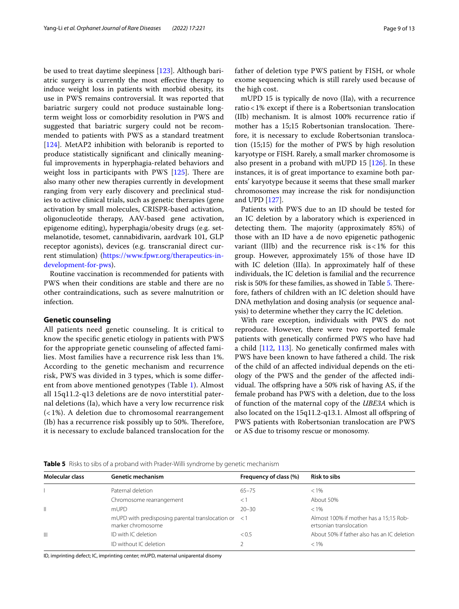be used to treat daytime sleepiness [\[123](#page-12-22)]. Although bariatric surgery is currently the most efective therapy to induce weight loss in patients with morbid obesity, its use in PWS remains controversial. It was reported that bariatric surgery could not produce sustainable longterm weight loss or comorbidity resolution in PWS and suggested that bariatric surgery could not be recommended to patients with PWS as a standard treatment [[124\]](#page-12-23). MetAP2 inhibition with beloranib is reported to produce statistically signifcant and clinically meaningful improvements in hyperphagia-related behaviors and weight loss in participants with PWS  $[125]$  $[125]$ . There are also many other new therapies currently in development ranging from very early discovery and preclinical studies to active clinical trials, such as genetic therapies (gene activation by small molecules, CRISPR-based activation, oligonucleotide therapy, AAV-based gene activation, epigenome editing), hyperphagia/obesity drugs (e.g. setmelanotide, tesomet, cannabidivarin, aardvark 101, GLP receptor agonists), devices (e.g. transcranial direct current stimulation) [\(https://www.fpwr.org/therapeutics-in](https://www.fpwr.org/therapeutics-in-development-for-pws)[development-for-pws](https://www.fpwr.org/therapeutics-in-development-for-pws)).

Routine vaccination is recommended for patients with PWS when their conditions are stable and there are no other contraindications, such as severe malnutrition or infection.

#### **Genetic counseling**

All patients need genetic counseling. It is critical to know the specifc genetic etiology in patients with PWS for the appropriate genetic counseling of afected families. Most families have a recurrence risk less than 1%. According to the genetic mechanism and recurrence risk, PWS was divided in 3 types, which is some diferent from above mentioned genotypes (Table [1](#page-2-0)). Almost all 15q11.2-q13 deletions are de novo interstitial paternal deletions (Ia), which have a very low recurrence risk (< 1%). A deletion due to chromosomal rearrangement (Ib) has a recurrence risk possibly up to 50%. Therefore, it is necessary to exclude balanced translocation for the father of deletion type PWS patient by FISH, or whole exome sequencing which is still rarely used because of the high cost.

mUPD 15 is typically de novo (IIa), with a recurrence ratio<1% except if there is a Robertsonian translocation (IIb) mechanism. It is almost 100% recurrence ratio if mother has a 15;15 Robertsonian translocation. Therefore, it is necessary to exclude Robertsonian translocation (15;15) for the mother of PWS by high resolution karyotype or FISH. Rarely, a small marker chromosome is also present in a proband with mUPD 15  $[126]$ . In these instances, it is of great importance to examine both parents' karyotype because it seems that these small marker chromosomes may increase the risk for nondisjunction and UPD [[127\]](#page-12-26).

Patients with PWS due to an ID should be tested for an IC deletion by a laboratory which is experienced in detecting them. The majority (approximately 85%) of those with an ID have a de novo epigenetic pathogenic variant (IIIb) and the recurrence risk  $is < 1\%$  for this group. However, approximately 15% of those have ID with IC deletion (IIIa). In approximately half of these individuals, the IC deletion is familial and the recurrence risk is [5](#page-8-0)0% for these families, as showed in Table 5. Therefore, fathers of children with an IC deletion should have DNA methylation and dosing analysis (or sequence analysis) to determine whether they carry the IC deletion.

With rare exception, individuals with PWS do not reproduce. However, there were two reported female patients with genetically confrmed PWS who have had a child [[112](#page-12-12), [113](#page-12-13)]. No genetically confrmed males with PWS have been known to have fathered a child. The risk of the child of an afected individual depends on the etiology of the PWS and the gender of the afected individual. The offspring have a 50% risk of having AS, if the female proband has PWS with a deletion, due to the loss of function of the maternal copy of the *UBE3A* which is also located on the 15q11.2-q13.1. Almost all ofspring of PWS patients with Robertsonian translocation are PWS or AS due to trisomy rescue or monosomy.

<span id="page-8-0"></span>

|  | Table 5 Risks to sibs of a proband with Prader-Willi syndrome by genetic mechanism |
|--|------------------------------------------------------------------------------------|
|--|------------------------------------------------------------------------------------|

| <b>Molecular class</b> | Genetic mechanism                                                              | Frequency of class (%) | <b>Risk to sibs</b>                                               |
|------------------------|--------------------------------------------------------------------------------|------------------------|-------------------------------------------------------------------|
|                        | Paternal deletion                                                              | $65 - 75$              | $< 1\%$                                                           |
|                        | Chromosome rearrangement                                                       | $\leq$ 1               | About 50%                                                         |
| Ш                      | mUPD                                                                           | $20 - 30$              | $< 1\%$                                                           |
|                        | mUPD with predisposing parental translocation or $\leq 1$<br>marker chromosome |                        | Almost 100% if mother has a 15;15 Rob-<br>ertsonian translocation |
| Ш                      | ID with IC deletion                                                            | < 0.5                  | About 50% if father also has an IC deletion                       |
|                        | ID without IC deletion                                                         |                        | $< 1\%$                                                           |

ID, imprinting defect; IC, imprinting center; mUPD, maternal uniparental disomy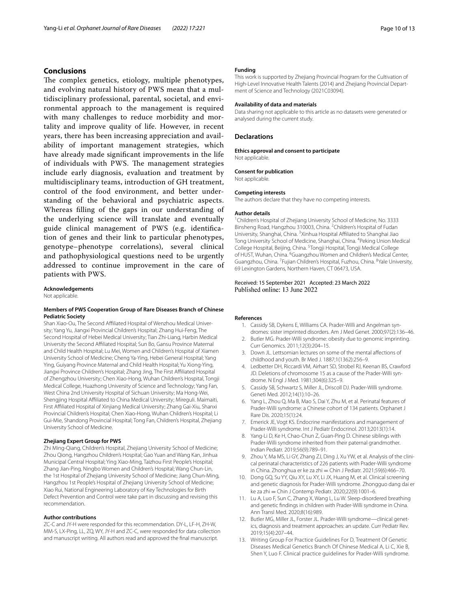# **Conclusions**

The complex genetics, etiology, multiple phenotypes, and evolving natural history of PWS mean that a multidisciplinary professional, parental, societal, and environmental approach to the management is required with many challenges to reduce morbidity and mortality and improve quality of life. However, in recent years, there has been increasing appreciation and availability of important management strategies, which have already made signifcant improvements in the life of individuals with PWS. The management strategies include early diagnosis, evaluation and treatment by multidisciplinary teams, introduction of GH treatment, control of the food environment, and better understanding of the behavioral and psychiatric aspects. Whereas flling of the gaps in our understanding of the underlying science will translate and eventually guide clinical management of PWS (e.g. identifcation of genes and their link to particular phenotypes, genotype–phenotype correlations), several clinical and pathophysiological questions need to be urgently addressed to continue improvement in the care of patients with PWS.

#### **Acknowledgements**

Not applicable.

#### **Members of PWS Cooperation Group of Rare Diseases Branch of Chinese Pediatric Society**

Shan Xiao-Ou, The Second Affiliated Hospital of Wenzhou Medical University; Yang Yu, Jiangxi Provincial Children's Hospital; Zhang Hui-Feng, The Second Hospital of Hebei Medical University; Tian Zhi-Liang, Harbin Medical University the Second Afliated Hospital; Sun Bo, Gansu Province Maternal and Child Health Hospital; Lu Mei, Women and Children's Hospital of Xiamen University School of Medicine; Cheng Ya-Ying, Hebei General Hospital; Yang Ying, Guiyang Province Maternal and Child Health Hospital; Yu Xiong-Ying, Jiangxi Province Children's Hospital; Zhang Jing, The First Afliated Hospital of Zhengzhou University; Chen Xiao-Hong, Wuhan Children's Hospital, Tongji Medical College, Huazhong University of Science and Technology; Yang Fan, West China 2nd University Hospital of Sichuan University; Ma Hong-Wei, Shengjing Hospital Affiliated to China Medical University; Mireguli. Maimaiti, First Afliated Hospital of Xinjiang Medical University; Zhang Gai-Xiu, Shanxi Provincial Children's Hospital; Chen Xiao-Hong, Wuhan Children's Hospital; Li Gui-Mie, Shandong Provincial Hospital; Tong Fan, Children's Hospital, Zhejiang University School of Medicine.

#### **Zhejiang Expert Group for PWS**

Zhi Ming-Qiang, Children's Hospital, Zhejiang University School of Medicine; Zhou Qiong, Hangzhou Children's Hospital; Gao Yuan and Wang Kan, Jinhua Municipal Central Hospital; Ying Xiao-Ming, Taizhou First People's Hospital; Zhang Jian-Ping, Ningbo Women and Children's Hospital; Wang Chun-Lin, the 1st Hospital of Zhejiang University School of Medicine; Jiang Chun-Ming, Hangzhou 1st People's Hospital of Zhejiang University School of Medicine; Xiao Rui, National Engineering Laboratory of Key Technologies for Birth Defect Prevention and Control were take part in discussing and revising this recommendation.

#### **Author contributions**

ZC-C and JY-H were responded for this recommendation. DY-L, LF-H, ZH-W, MM-S, LX-Ping, LL, ZQ, WY, JY-H and ZC-C, were responded for data collection and manuscript writing. All authors read and approved the fnal manuscript.

#### **Funding**

This work is supported by Zhejiang Provincial Program for the Cultivation of High-Level Innovative Health Talents (2014) and Zhejiang Provincial Depart‑ ment of Science and Technology (2021C03094).

#### **Availability of data and materials**

Data sharing not applicable to this article as no datasets were generated or analysed during the current study.

#### **Declarations**

**Ethics approval and consent to participate** Not applicable.

**Consent for publication** Not applicable.

#### **Competing interests**

The authors declare that they have no competing interests.

#### **Author details**

<sup>1</sup> Children's Hospital of Zhejiang University School of Medicine, No. 3333 Binsheng Road, Hangzhou 310003, China. <sup>2</sup>Children's Hospital of Fudan University, Shanghai, China. <sup>3</sup>Xinhua Hospital Affiliated to Shanghai Jiao Tong University School of Medicine, Shanghai, China. <sup>4</sup> Peking Union Medical College Hospital, Beijing, China. <sup>5</sup>Tongji Hospital, Tongji Medical College of HUST, Wuhan, China. <sup>6</sup> Guangzhou Women and Children's Medical Center, Guangzhou, China. <sup>7</sup> Fujian Children's Hospital, Fuzhou, China. <sup>8</sup> Yale University, 69 Lexington Gardens, Northern Haven, CT 06473, USA.

#### Received: 15 September 2021 Accepted: 23 March 2022 Published online: 13 June 2022

#### <span id="page-9-0"></span>**References**

- 1. Cassidy SB, Dykens E, Williams CA. Prader-Willi and Angelman syndromes: sister imprinted disorders. Am J Med Genet. 2000;97(2):136–46.
- <span id="page-9-1"></span>2. Butler MG. Prader-Willi syndrome: obesity due to genomic imprinting. Curr Genomics. 2011;12(3):204–15.
- <span id="page-9-2"></span>Down JL. Lettsomian lectures on some of the mental affections of childhood and youth. Br Med J. 1887;1(1362):256–9.
- <span id="page-9-3"></span>4. Ledbetter DH, Riccardi VM, Airhart SD, Strobel RJ, Keenan BS, Crawford JD. Deletions of chromosome 15 as a cause of the Prader-Willi syndrome. N Engl J Med. 1981;304(6):325–9.
- <span id="page-9-4"></span>5. Cassidy SB, Schwartz S, Miller JL, Driscoll DJ. Prader-Willi syndrome. Geneti Med. 2012;14(1):10–26.
- <span id="page-9-5"></span>6. Yang L, Zhou Q, Ma B, Mao S, Dai Y, Zhu M, et al. Perinatal features of Prader-Willi syndrome: a Chinese cohort of 134 patients. Orphanet J Rare Dis. 2020;15(1):24.
- <span id="page-9-6"></span>7. Emerick JE, Vogt KS. Endocrine manifestations and management of Prader-Willi syndrome. Int J Pediatr Endocrinol. 2013;2013(1):14.
- <span id="page-9-7"></span>Yang-Li D, Ke H, Chao-Chun Z, Guan-Ping D. Chinese siblings with Prader-Willi syndrome inherited from their paternal grandmother. Indian Pediatr. 2019;56(9):789–91.
- <span id="page-9-8"></span>9. Zhou Y, Ma MS, Li GY, Zhang ZJ, Ding J, Xu YW, et al. Analysis of the clinical perinatal characteristics of 226 patients with Prader-Willi syndrome in China. Zhonghua er ke za zhi = Chin J Pediatr. 2021;59(6):466-70.
- <span id="page-9-9"></span>10. Dong GQ, Su YY, Qiu XY, Lu XY, Li JX, Huang M, et al. Clinical screening and genetic diagnosis for Prader-Willi syndrome. Zhongguo dang dai er ke za zhi = Chin J Contemp Pediatr. 2020;22(9):1001–6.
- <span id="page-9-10"></span>11. Lu A, Luo F, Sun C, Zhang X, Wang L, Lu W. Sleep-disordered breathing and genetic fndings in children with Prader-Willi syndrome in China. Ann Transl Med. 2020;8(16):989.
- <span id="page-9-11"></span>12. Butler MG, Miller JL, Forster JL. Prader-Willi syndrome-clinical genetics, diagnosis and treatment approaches: an update. Curr Pediatr Rev. 2019;15(4):207–44.
- <span id="page-9-12"></span>13. Writing Group For Practice Guidelines For D, Treatment Of Genetic Diseases Medical Genetics Branch Of Chinese Medical A, Li C, Xie B, Shen Y, Luo F. Clinical practice guidelines for Prader-Willi syndrome.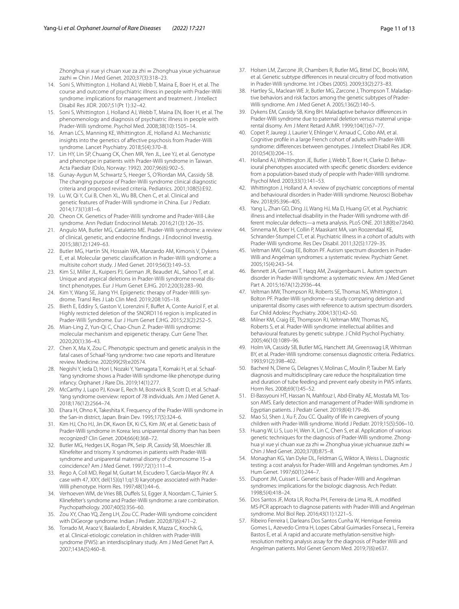Zhonghua yi xue yi chuan xue za zhi = Zhonghua yixue yichuanxue zazhi = Chin J Med Genet. 2020;37(3):318–23.

- <span id="page-10-0"></span>14. Soni S, Whittington J, Holland AJ, Webb T, Maina E, Boer H, et al. The course and outcome of psychiatric illness in people with Prader-Willi syndrome: implications for management and treatment. J Intellect Disabil Res JIDR. 2007;51(Pt 1):32–42.
- <span id="page-10-36"></span>15. Soni S, Whittington J, Holland AJ, Webb T, Maina EN, Boer H, et al. The phenomenology and diagnosis of psychiatric illness in people with Prader-Willi syndrome. Psychol Med. 2008;38(10):1505–14.
- <span id="page-10-1"></span>16. Aman LCS, Manning KE, Whittington JE, Holland AJ. Mechanistic insights into the genetics of afective psychosis from Prader-Willi syndrome. Lancet Psychiatry. 2018;5(4):370–8.
- <span id="page-10-2"></span>17. Lin HY, Lin SP, Chuang CK, Chen MR, Yen JL, Lee YJ, et al. Genotype and phenotype in patients with Prader-Willi syndrome in Taiwan. Acta Paediatr (Oslo, Norway: 1992). 2007;96(6):902–5.
- <span id="page-10-3"></span>18. Gunay-Aygun M, Schwartz S, Heeger S, O'Riordan MA, Cassidy SB. The changing purpose of Prader-Willi syndrome clinical diagnostic criteria and proposed revised criteria. Pediatrics. 2001;108(5):E92.
- <span id="page-10-4"></span>19. Lu W, Qi Y, Cui B, Chen XL, Wu BB, Chen C, et al. Clinical and genetic features of Prader-Willi syndrome in China. Eur J Pediatr. 2014;173(1):81–6.
- <span id="page-10-5"></span>20. Cheon CK. Genetics of Prader-Willi syndrome and Prader-Will-Like syndrome. Ann Pediatr Endocrinol Metab. 2016;21(3):126–35.
- <span id="page-10-6"></span>21. Angulo MA, Butler MG, Cataletto ME. Prader-Willi syndrome: a review of clinical, genetic, and endocrine fndings. J Endocrinol Investig. 2015;38(12):1249–63.
- <span id="page-10-35"></span>22. Butler MG, Hartin SN, Hossain WA, Manzardo AM, Kimonis V, Dykens E, et al. Molecular genetic classifcation in Prader-Willi syndrome: a multisite cohort study. J Med Genet. 2019;56(3):149–53.
- <span id="page-10-7"></span>23. Kim SJ, Miller JL, Kuipers PJ, German JR, Beaudet AL, Sahoo T, et al. Unique and atypical deletions in Prader-Willi syndrome reveal dis‑ tinct phenotypes. Eur J Hum Genet EJHG. 2012;20(3):283–90.
- <span id="page-10-8"></span>24. Kim Y, Wang SE, Jiang YH. Epigenetic therapy of Prader-Willi syndrome. Transl Res J Lab Clin Med. 2019;208:105–18.
- <span id="page-10-9"></span>25. Bieth E, Eddiry S, Gaston V, Lorenzini F, Buffet A, Conte Auriol F, et al. Highly restricted deletion of the SNORD116 region is implicated in Prader-Willi Syndrome. Eur J Hum Genet EJHG. 2015;23(2):252–5.
- <span id="page-10-10"></span>26. Mian-Ling Z, Yun-Qi C, Chao-Chun Z. Prader-Willi syndrome: molecular mechanism and epigenetic therapy. Curr Gene Ther. 2020;20(1):36–43.
- <span id="page-10-11"></span>27. Chen X, Ma X, Zou C. Phenotypic spectrum and genetic analysis in the fatal cases of Schaaf-Yang syndrome: two case reports and literature review. Medicine. 2020;99(29):e20574.
- <span id="page-10-12"></span>28. Negishi Y, Ieda D, Hori I, Nozaki Y, Yamagata T, Komaki H, et al. Schaaf-Yang syndrome shows a Prader-Willi syndrome-like phenotype during infancy. Orphanet J Rare Dis. 2019;14(1):277.
- <span id="page-10-13"></span>29. McCarthy J, Lupo PJ, Kovar E, Rech M, Bostwick B, Scott D, et al. Schaaf-Yang syndrome overview: report of 78 individuals. Am J Med Genet A. 2018;176(12):2564–74.
- <span id="page-10-14"></span>30. Ehara H, Ohno K, Takeshita K. Frequency of the Prader-Willi syndrome in the San-in district, Japan. Brain Dev. 1995;17(5):324–6.
- <span id="page-10-15"></span>31. Kim HJ, Cho HJ, Jin DK, Kwon EK, Ki CS, Kim JW, et al. Genetic basis of Prader-Willi syndrome in Korea: less uniparental disomy than has been recognized? Clin Genet. 2004;66(4):368–72.
- <span id="page-10-16"></span>32. Butler MG, Hedges LK, Rogan PK, Seip JR, Cassidy SB, Moeschler JB. Klinefelter and trisomy X syndromes in patients with Prader-Willi syndrome and uniparental maternal disomy of chromosome 15–a coincidence? Am J Med Genet. 1997;72(1):111–4.
- 33. Rego A, Coll MD, Regal M, Guitart M, Escudero T, García-Mayor RV. A case with 47, XXY, del(15)(q11;q13) karyotype associated with Prader-Willi phenotype. Horm Res. 1997;48(1):44–6.
- 34. Verhoeven WM, de Vries BB, Duffels SJ, Egger JI, Noordam C, Tuinier S. Klinefelter's syndrome and Prader-Willi syndrome: a rare combination. Psychopathology. 2007;40(5):356–60.
- <span id="page-10-17"></span>35. Zou XY, Chao YQ, Zeng LH, Zou CC. Prader-Willi syndrome coincident with DiGeorge syndrome. Indian J Pediatr. 2020;87(6):471–2.
- <span id="page-10-18"></span>36. Torrado M, Araoz V, Baialardo E, Abraldes K, Mazza C, Krochik G, et al. Clinical-etiologic correlation in children with Prader-Willi syndrome (PWS): an interdisciplinary study. Am J Med Genet Part A. 2007;143A(5):460–8.
- <span id="page-10-19"></span>37. Holsen LM, Zarcone JR, Chambers R, Butler MG, Bittel DC, Brooks WM, et al. Genetic subtype diferences in neural circuitry of food motivation in Prader-Willi syndrome. Int J Obes (2005). 2009;33(2):273–83.
- <span id="page-10-20"></span>38. Hartley SL, Maclean WE Jr, Butler MG, Zarcone J, Thompson T. Maladaptive behaviors and risk factors among the genetic subtypes of Prader-Willi syndrome. Am J Med Genet A. 2005;136(2):140–5.
- <span id="page-10-21"></span>39. Dykens EM, Cassidy SB, King BH. Maladaptive behavior diferences in Prader-Willi syndrome due to paternal deletion versus maternal uniparental disomy. Am J Ment Retard AJMR. 1999;104(1):67–77.
- <span id="page-10-22"></span>40. Copet P, Jauregi J, Laurier V, Ehlinger V, Arnaud C, Cobo AM, et al. Cognitive profle in a large French cohort of adults with Prader-Willi syndrome: diferences between genotypes. J Intellect Disabil Res JIDR. 2010;54(3):204–15.
- <span id="page-10-23"></span>41. Holland AJ, Whittington JE, Butler J, Webb T, Boer H, Clarke D. Behavioural phenotypes associated with specifc genetic disorders: evidence from a population-based study of people with Prader-Willi syndrome. Psychol Med. 2003;33(1):141–53.
- 42. Whittington J, Holland A. A review of psychiatric conceptions of mental and behavioural disorders in Prader-Willi syndrome. Neurosci Biobehav Rev. 2018;95:396–405.
- 43. Yang L, Zhan GD, Ding JJ, Wang HJ, Ma D, Huang GY, et al. Psychiatric illness and intellectual disability in the Prader-Willi syndrome with different molecular defects—a meta analysis. PLoS ONE. 2013;8(8):e72640.
- <span id="page-10-24"></span>44. Sinnema M, Boer H, Collin P, Maaskant MA, van Roozendaal KE, Schrander-Stumpel CT, et al. Psychiatric illness in a cohort of adults with Prader-Willi syndrome. Res Dev Disabil. 2011;32(5):1729–35.
- <span id="page-10-25"></span>45. Veltman MW, Craig EE, Bolton PF. Autism spectrum disorders in Prader-Willi and Angelman syndromes: a systematic review. Psychiatr Genet. 2005;15(4):243–54.
- 46. Bennett JA, Germani T, Haqq AM, Zwaigenbaum L. Autism spectrum disorder in Prader-Willi syndrome: a systematic review. Am J Med Genet Part A. 2015;167A(12):2936–44.
- 47. Veltman MW, Thompson RJ, Roberts SE, Thomas NS, Whittington J, Bolton PF. Prader-Willi syndrome—a study comparing deletion and uniparental disomy cases with reference to autism spectrum disorders. Eur Child Adolesc Psychiatry. 2004;13(1):42–50.
- <span id="page-10-26"></span>48. Milner KM, Craig EE, Thompson RJ, Veltman MW, Thomas NS, Roberts S, et al. Prader-Willi syndrome: intellectual abilities and behavioural features by genetic subtype. J Child Psychol Psychiatry. 2005;46(10):1089–96.
- <span id="page-10-27"></span>49. Holm VA, Cassidy SB, Butler MG, Hanchett JM, Greenswag LR, Whitman BY, et al. Prader-Willi syndrome: consensus diagnostic criteria. Pediatrics. 1993;91(2):398–402.
- <span id="page-10-28"></span>50. Bacheré N, Diene G, Delagnes V, Molinas C, Moulin P, Tauber M. Early diagnosis and multidisciplinary care reduce the hospitalization time and duration of tube feeding and prevent early obesity in PWS infants. Horm Res. 2008;69(1):45–52.
- <span id="page-10-29"></span>51. El-Bassyouni HT, Hassan N, Mahfouz I, Abd-Elnaby AE, Mostafa MI, Tosson AMS. Early detection and management of Prader-Willi syndrome in Egyptian patients. J Pediatr Genet. 2019;8(4):179–86.
- <span id="page-10-30"></span>52. Mao SJ, Shen J, Xu F, Zou CC. Quality of life in caregivers of young children with Prader-Willi syndrome. World J Pediatr. 2019;15(5):506–10.
- <span id="page-10-31"></span>53. Huang W, Li S, Luo H, Wen X, Lin C, Chen S, et al. Application of various genetic techniques for the diagnosis of Prader-Willi syndrome. Zhonghua yi xue yi chuan xue za zhi = Zhonghua yixue yichuanxue zazhi = Chin J Med Genet. 2020;37(8):875–8.
- <span id="page-10-32"></span>54. Monaghan KG, Van Dyke DL, Feldman G, Wiktor A, Weiss L. Diagnostic testing: a cost analysis for Prader-Willi and Angelman syndromes. Am J Hum Genet. 1997;60(1):244–7.
- <span id="page-10-33"></span>55. Dupont JM, Cuisset L. Genetic basis of Prader-Willi and Angelman syndromes: implications for the biologic diagnosis. Arch Pediatr. 1998;5(4):418–24.
- <span id="page-10-34"></span>56. Dos Santos JF, Mota LR, Rocha PH, Ferreira de Lima RL. A modifed MS-PCR approach to diagnose patients with Prader-Willi and Angelman syndrome. Mol Biol Rep. 2016;43(11):1221–5.
- <span id="page-10-37"></span>57. Ribeiro Ferreira I, Darleans Dos Santos Cunha W, Henrique Ferreira Gomes L, Azevedo Cintra H, Lopes Cabral Guimarães Fonseca L, Ferreira Bastos E, et al. A rapid and accurate methylation-sensitive highresolution melting analysis assay for the diagnosis of Prader Willi and Angelman patients. Mol Genet Genom Med. 2019;7(6):e637.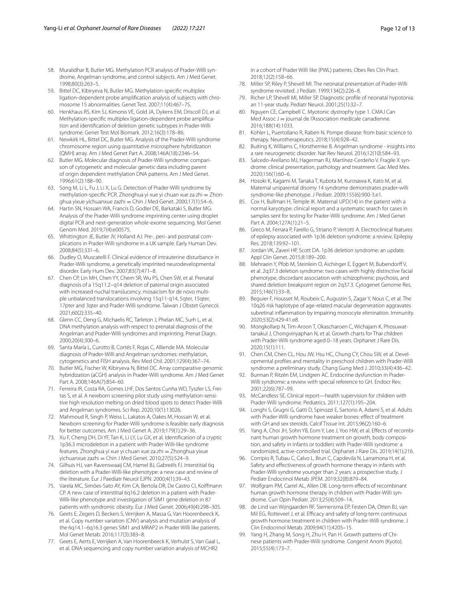- <span id="page-11-0"></span>58. Muralidhar B, Butler MG. Methylation PCR analysis of Prader-Willi syndrome, Angelman syndrome, and control subjects. Am J Med Genet. 1998;80(3):263–5.
- <span id="page-11-1"></span>59. Bittel DC, Kibiryeva N, Butler MG. Methylation-specifc multiplex ligation-dependent probe amplification analysis of subjects with chromosome 15 abnormalities. Genet Test. 2007;11(4):467–75.
- <span id="page-11-2"></span>60. Henkhaus RS, Kim SJ, Kimonis VE, Gold JA, Dykens EM, Driscoll DJ, et al. Methylation-specific multiplex ligation-dependent probe amplification and identifcation of deletion genetic subtypes in Prader-Willi syndrome. Genet Test Mol Biomark. 2012;16(3):178–86.
- <span id="page-11-3"></span>61. Newkirk HL, Bittel DC, Butler MG. Analysis of the Prader-Willi syndrome chromosome region using quantitative microsphere hybridization (QMH) array. Am J Med Genet Part A. 2008;146A(18):2346–54.
- <span id="page-11-4"></span>62. Butler MG. Molecular diagnosis of Prader-Willi syndrome: comparison of cytogenetic and molecular genetic data including parent of origin dependent methylation DNA patterns. Am J Med Genet. 1996;61(2):188–90.
- <span id="page-11-5"></span>63. Song M, Li L, Fu J, Li X, Lu G. Detection of Prader-Willi syndrome by methylation-specific PCR. Zhonghua yi xue yi chuan xue za zhi = Zhonghua yixue yichuanxue zazhi = Chin J Med Genet. 2000;17(1):54-6.
- <span id="page-11-6"></span>64. Hartin SN, Hossain WA, Francis D, Godler DE, Barkataki S, Butler MG. Analysis of the Prader-Willi syndrome imprinting center using droplet digital PCR and next-generation whole-exome sequencing. Mol Genet Genom Med. 2019;7(4):e00575.
- <span id="page-11-7"></span>65. Whittington JE, Butler JV, Holland AJ. Pre-, peri- and postnatal complications in Prader-Willi syndrome in a UK sample. Early Human Dev. 2008;84(5):331–6.
- 66. Dudley O, Muscatelli F. Clinical evidence of intrauterine disturbance in Prader-Willi syndrome, a genetically imprinted neurodevelopmental disorder. Early Hum Dev. 2007;83(7):471–8.
- <span id="page-11-8"></span>67. Chen CP, Lin MH, Chen YY, Chern SR, Wu PS, Chen SW, et al. Prenatal diagnosis of a 15q11.2–q14 deletion of paternal origin associated with increased nuchal translucency, mosaicism for de novo multiple unbalanced translocations involving 15q11-q14, 5qter, 15qter, 17pter and 3qter and Prader-Willi syndrome. Taiwan J Obstet Gynecol. 2021;60(2):335–40.
- <span id="page-11-9"></span>68. Glenn CC, Deng G, Michaelis RC, Tarleton J, Phelan MC, Surh L, et al. DNA methylation analysis with respect to prenatal diagnosis of the Angelman and Prader-Willi syndromes and imprinting. Prenat Diagn. 2000;20(4):300–6.
- <span id="page-11-10"></span>69. Santa María L, Curotto B, Cortés F, Rojas C, Alliende MA. Molecular diagnosis of Prader-Willi and Angelman syndromes: methylation, cytogenetics and FISH analysis. Rev Med Chil. 2001;129(4):367–74.
- <span id="page-11-11"></span>70. Butler MG, Fischer W, Kibiryeva N, Bittel DC. Array comparative genomic hybridization (aCGH) analysis in Prader-Willi syndrome. Am J Med Genet Part A. 2008;146A(7):854–60.
- <span id="page-11-12"></span>71. Ferreira IR, Costa RA, Gomes LHF, Dos Santos Cunha WD, Tyszler LS, Freitas S, et al. A newborn screening pilot study using methylation-sensitive high resolution melting on dried blood spots to detect Prader-Willi and Angelman syndromes. Sci Rep. 2020;10(1):13026.
- <span id="page-11-13"></span>72. Mahmoud R, Singh P, Weiss L, Lakatos A, Oakes M, Hossain W, et al. Newborn screening for Prader-Willi syndrome is feasible: early diagnosis for better outcomes. Am J Med Genet A. 2019;179(1):29–36.
- <span id="page-11-14"></span>73. Xu F, Cheng DH, Di YF, Tan K, Li LY, Lu GX, et al. Identifcation of a cryptic 1p36.3 microdeletion in a patient with Prader-Willi-like syndrome features. Zhonghua yi xue yi chuan xue za zhi = Zhonghua yixue yichuanxue zazhi = Chin J Med Genet. 2010;27(5):524-9.
- <span id="page-11-15"></span>74. Gilhuis HJ, van Ravenswaaij CM, Hamel BJ, Gabreëls FJ. Interstitial 6q deletion with a Prader-Willi-like phenotype: a new case and review of the literature. Eur J Paediatr Neurol EJPN. 2000;4(1):39–43.
- <span id="page-11-25"></span>75. Varela MC, Simões-Sato AY, Kim CA, Bertola DR, De Castro CI, Koifmann CP. A new case of interstitial 6q16.2 deletion in a patient with Prader-Willi-like phenotype and investigation of SIM1 gene deletion in 87 patients with syndromic obesity. Eur J Med Genet. 2006;49(4):298–305.
- 76. Geets E, Zegers D, Beckers S, Verrijken A, Massa G, Van Hoorenbeeck K, et al. Copy number variation (CNV) analysis and mutation analysis of the 6q14.1–6q16.3 genes SIM1 and MRAP2 in Prader Willi like patients. Mol Genet Metab. 2016;117(3):383–8.
- <span id="page-11-16"></span>77. Geets E, Aerts E, Verrijken A, Van Hoorenbeeck K, Verhulst S, Van Gaal L, et al. DNA sequencing and copy number variation analysis of MCHR2

in a cohort of Prader Willi like (PWL) patients. Obes Res Clin Pract. 2018;12(2):158–66.

- <span id="page-11-17"></span>78. Miller SP, Riley P, Shevell MI. The neonatal presentation of Prader-Willi syndrome revisited. J Pediatr. 1999;134(2):226–8.
- <span id="page-11-18"></span>79. Richer LP, Shevell MI, Miller SP. Diagnostic profle of neonatal hypotonia: an 11-year study. Pediatr Neurol. 2001;25(1):32–7.
- <span id="page-11-19"></span>80. Nguyen CE, Campbell C. Myotonic dystrophy type 1. CMAJ Can Med Assoc  $J =$  journal de l'Association medicale canadienne. 2016;188(14):1033.
- <span id="page-11-20"></span>81. Kohler L, Puertollano R, Raben N. Pompe disease: from basic science to therapy. Neurotherapeutics. 2018;15(4):928–42.
- <span id="page-11-21"></span>82. Buiting K, Williams C, Horsthemke B. Angelman syndrome - insights into a rare neurogenetic disorder. Nat Rev Neurol. 2016;12(10):584–93.
- <span id="page-11-22"></span>Salcedo-Arellano MJ, Hagerman RJ, Martínez-Cerdeño V. Fragile X syndrome: clinical presentation, pathology and treatment. Gac Med Mex. 2020;156(1):60–6.
- <span id="page-11-23"></span>84. Hosoki K, Kagami M, Tanaka T, Kubota M, Kurosawa K, Kato M, et al. Maternal uniparental disomy 14 syndrome demonstrates prader-willi syndrome-like phenotype. J Pediatr. 2009;155(6):900-3.e1.
- <span id="page-11-24"></span>85. Cox H, Bullman H, Temple IK. Maternal UPD(14) in the patient with a normal karyotype: clinical report and a systematic search for cases in samples sent for testing for Prader-Willi syndrome. Am J Med Genet Part A. 2004;127A(1):21–5.
- <span id="page-11-26"></span>86. Greco M, Ferrara P, Farello G, Striano P, Verrotti A. Electroclinical features of epilepsy associated with 1p36 deletion syndrome: a review. Epilepsy Res. 2018;139:92–101.
- 87. Jordan VK, Zaveri HP, Scott DA. 1p36 deletion syndrome: an update. Appl Clin Genet. 2015;8:189–200.
- 88. Mehraein Y, Pfob M, Steinlein O, Aichinger E, Eggert M, Bubendorff V, et al. 2q37.3 deletion syndrome: two cases with highly distinctive facial phenotype, discordant association with schizophrenic psychosis, and shared deletion breakpoint region on 2q37.3. Cytogenet Genome Res. 2015;146(1):33–8.
- <span id="page-11-27"></span>89. Beguier F, Housset M, Roubeix C, Augustin S, Zagar Y, Nous C, et al. The 10q26 risk haplotype of age-related macular degeneration aggravates subretinal infammation by impairing monocyte elimination. Immunity. 2020;53(2):429-41.e8.
- <span id="page-11-28"></span>90. Mongkollarp N, Tim-Aroon T, Okascharoen C, Wichajarn K, Phosuwattanakul J, Chongviriyaphan N, et al. Growth charts for Thai children with Prader-Willi syndrome aged 0–18 years. Orphanet J Rare Dis. 2020;15(1):111.
- <span id="page-11-29"></span>91. Chen CM, Chen CL, Hou JW, Hsu HC, Chung CY, Chou SW, et al. Developmental profles and mentality in preschool children with Prader-Willi syndrome: a preliminary study. Chang Gung Med J. 2010;33(4):436–42.
- <span id="page-11-30"></span>92. Burman P, Ritzén EM, Lindgren AC. Endocrine dysfunction in Prader-Willi syndrome: a review with special reference to GH. Endocr Rev. 2001;22(6):787–99.
- <span id="page-11-31"></span>93. McCandless SE. Clinical report—health supervision for children with Prader-Willi syndrome. Pediatrics. 2011;127(1):195–204.
- 94. Longhi S, Grugni G, Gatti D, Spinozzi E, Sartorio A, Adami S, et al. Adults with Prader-Willi syndrome have weaker bones: efect of treatment with GH and sex steroids. Calcif Tissue Int. 2015;96(2):160–6.
- 95. Yang A, Choi JH, Sohn YB, Eom Y, Lee J, Yoo HW, et al. Effects of recombinant human growth hormone treatment on growth, body composition, and safety in infants or toddlers with Prader-Willi syndrome: a randomized, active-controlled trial. Orphanet J Rare Dis. 2019;14(1):216.
- <span id="page-11-33"></span>96. Corripio R, Tubau C, Calvo L, Brun C, Capdevila N, Larramona H, et al. Safety and efectiveness of growth hormone therapy in infants with Prader-Willi syndrome younger than 2 years: a prospective study. J Pediatr Endocrinol Metab JPEM. 2019;32(8):879–84.
- 97. Wolfgram PM, Carrel AL, Allen DB. Long-term effects of recombinant human growth hormone therapy in children with Prader-Willi syndrome. Curr Opin Pediatr. 2013;25(4):509–14.
- 98. de Lind van Wijngaarden RF, Siemensma EP, Festen DA, Otten BJ, van Mil EG, Rotteveel J, et al. Efficacy and safety of long-term continuous growth hormone treatment in children with Prader-Willi syndrome. J Clin Endocrinol Metab. 2009;94(11):4205–15.
- <span id="page-11-32"></span>99. Yang H, Zhang M, Song H, Zhu H, Pan H, Growth patterns of Chinese patients with Prader-Willi syndrome. Congenit Anom (Kyoto). 2015;55(4):173–7.